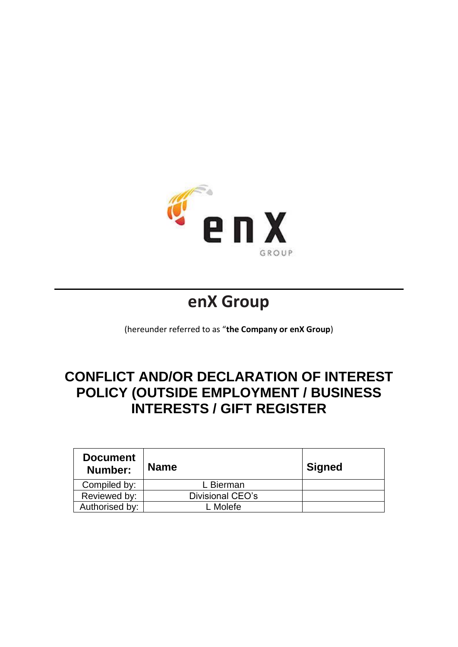

# **enX Group**

(hereunder referred to as "**the Company or enX Group**)

## **CONFLICT AND/OR DECLARATION OF INTEREST POLICY (OUTSIDE EMPLOYMENT / BUSINESS INTERESTS / GIFT REGISTER**

| <b>Document</b><br>Number: | <b>Name</b>      | <b>Signed</b> |
|----------------------------|------------------|---------------|
| Compiled by:               | L Bierman        |               |
| Reviewed by:               | Divisional CEO's |               |
| Authorised by:             | Molefe           |               |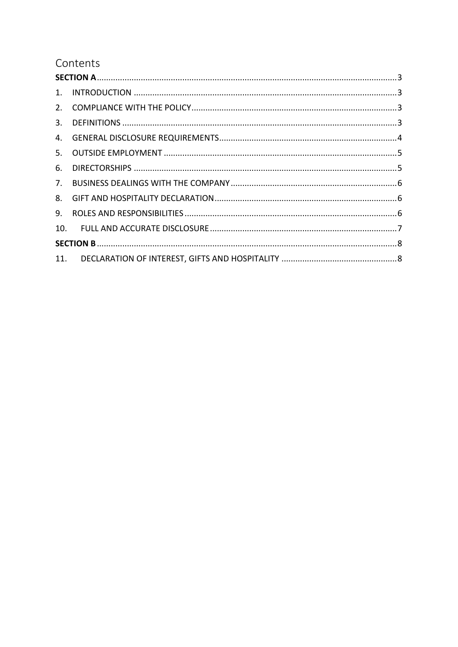## Contents

| 6. |  |
|----|--|
|    |  |
|    |  |
| 9. |  |
|    |  |
|    |  |
|    |  |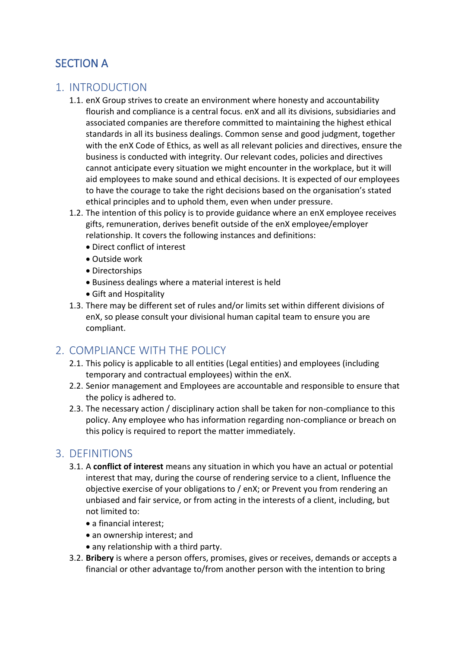## SECTION A

#### 1. INTRODUCTION

- 1.1. enX Group strives to create an environment where honesty and accountability flourish and compliance is a central focus. enX and all its divisions, subsidiaries and associated companies are therefore committed to maintaining the highest ethical standards in all its business dealings. Common sense and good judgment, together with the enX Code of Ethics, as well as all relevant policies and directives, ensure the business is conducted with integrity. Our relevant codes, policies and directives cannot anticipate every situation we might encounter in the workplace, but it will aid employees to make sound and ethical decisions. It is expected of our employees to have the courage to take the right decisions based on the organisation's stated ethical principles and to uphold them, even when under pressure.
- 1.2. The intention of this policy is to provide guidance where an enX employee receives gifts, remuneration, derives benefit outside of the enX employee/employer relationship. It covers the following instances and definitions:
	- Direct conflict of interest
	- Outside work
	- Directorships
	- Business dealings where a material interest is held
	- Gift and Hospitality
- 1.3. There may be different set of rules and/or limits set within different divisions of enX, so please consult your divisional human capital team to ensure you are compliant.

## 2. COMPLIANCE WITH THE POLICY

- 2.1. This policy is applicable to all entities (Legal entities) and employees (including temporary and contractual employees) within the enX.
- 2.2. Senior management and Employees are accountable and responsible to ensure that the policy is adhered to.
- 2.3. The necessary action / disciplinary action shall be taken for non-compliance to this policy. Any employee who has information regarding non-compliance or breach on this policy is required to report the matter immediately.

#### 3. DEFINITIONS

- 3.1. A **conflict of interest** means any situation in which you have an actual or potential interest that may, during the course of rendering service to a client, Influence the objective exercise of your obligations to / enX; or Prevent you from rendering an unbiased and fair service, or from acting in the interests of a client, including, but not limited to:
	- a financial interest;
	- an ownership interest; and
	- any relationship with a third party.
- 3.2. **Bribery** is where a person offers, promises, gives or receives, demands or accepts a financial or other advantage to/from another person with the intention to bring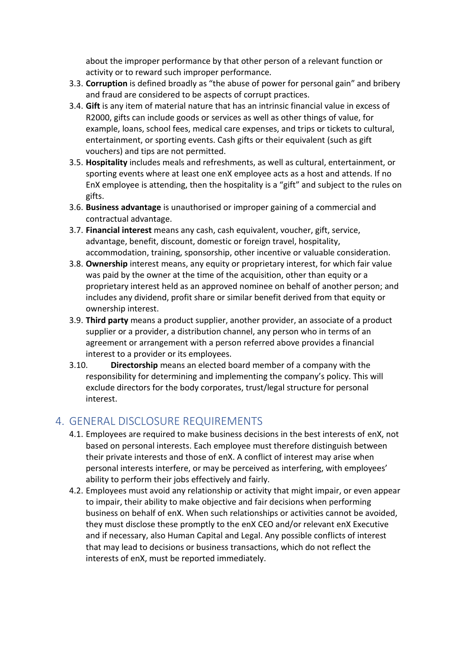about the improper performance by that other person of a relevant function or activity or to reward such improper performance.

- 3.3. **Corruption** is defined broadly as "the abuse of power for personal gain" and bribery and fraud are considered to be aspects of corrupt practices.
- 3.4. **Gift** is any item of material nature that has an intrinsic financial value in excess of R2000, gifts can include goods or services as well as other things of value, for example, loans, school fees, medical care expenses, and trips or tickets to cultural, entertainment, or sporting events. Cash gifts or their equivalent (such as gift vouchers) and tips are not permitted.
- 3.5. **Hospitality** includes meals and refreshments, as well as cultural, entertainment, or sporting events where at least one enX employee acts as a host and attends. If no EnX employee is attending, then the hospitality is a "gift" and subject to the rules on gifts.
- 3.6. **Business advantage** is unauthorised or improper gaining of a commercial and contractual advantage.
- 3.7. **Financial interest** means any cash, cash equivalent, voucher, gift, service, advantage, benefit, discount, domestic or foreign travel, hospitality, accommodation, training, sponsorship, other incentive or valuable consideration.
- 3.8. **Ownership** interest means, any equity or proprietary interest, for which fair value was paid by the owner at the time of the acquisition, other than equity or a proprietary interest held as an approved nominee on behalf of another person; and includes any dividend, profit share or similar benefit derived from that equity or ownership interest.
- 3.9. **Third party** means a product supplier, another provider, an associate of a product supplier or a provider, a distribution channel, any person who in terms of an agreement or arrangement with a person referred above provides a financial interest to a provider or its employees.
- 3.10. **Directorship** means an elected board member of a company with the responsibility for determining and implementing the company's policy. This will exclude directors for the body corporates, trust/legal structure for personal interest.

## 4. GENERAL DISCLOSURE REQUIREMENTS

- 4.1. Employees are required to make business decisions in the best interests of enX, not based on personal interests. Each employee must therefore distinguish between their private interests and those of enX. A conflict of interest may arise when personal interests interfere, or may be perceived as interfering, with employees' ability to perform their jobs effectively and fairly.
- 4.2. Employees must avoid any relationship or activity that might impair, or even appear to impair, their ability to make objective and fair decisions when performing business on behalf of enX. When such relationships or activities cannot be avoided, they must disclose these promptly to the enX CEO and/or relevant enX Executive and if necessary, also Human Capital and Legal. Any possible conflicts of interest that may lead to decisions or business transactions, which do not reflect the interests of enX, must be reported immediately.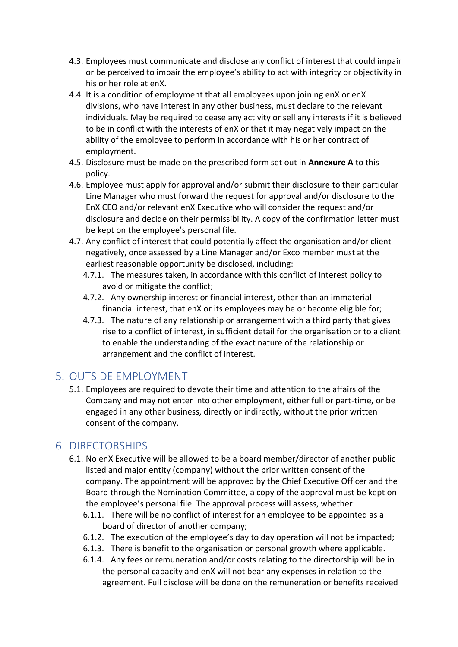- 4.3. Employees must communicate and disclose any conflict of interest that could impair or be perceived to impair the employee's ability to act with integrity or objectivity in his or her role at enX.
- 4.4. It is a condition of employment that all employees upon joining enX or enX divisions, who have interest in any other business, must declare to the relevant individuals. May be required to cease any activity or sell any interests if it is believed to be in conflict with the interests of enX or that it may negatively impact on the ability of the employee to perform in accordance with his or her contract of employment.
- 4.5. Disclosure must be made on the prescribed form set out in **Annexure A** to this policy.
- 4.6. Employee must apply for approval and/or submit their disclosure to their particular Line Manager who must forward the request for approval and/or disclosure to the EnX CEO and/or relevant enX Executive who will consider the request and/or disclosure and decide on their permissibility. A copy of the confirmation letter must be kept on the employee's personal file.
- 4.7. Any conflict of interest that could potentially affect the organisation and/or client negatively, once assessed by a Line Manager and/or Exco member must at the earliest reasonable opportunity be disclosed, including:
	- 4.7.1. The measures taken, in accordance with this conflict of interest policy to avoid or mitigate the conflict;
	- 4.7.2. Any ownership interest or financial interest, other than an immaterial financial interest, that enX or its employees may be or become eligible for;
	- 4.7.3. The nature of any relationship or arrangement with a third party that gives rise to a conflict of interest, in sufficient detail for the organisation or to a client to enable the understanding of the exact nature of the relationship or arrangement and the conflict of interest.

## 5. OUTSIDE EMPLOYMENT

5.1. Employees are required to devote their time and attention to the affairs of the Company and may not enter into other employment, either full or part-time, or be engaged in any other business, directly or indirectly, without the prior written consent of the company.

#### 6. DIRECTORSHIPS

- 6.1. No enX Executive will be allowed to be a board member/director of another public listed and major entity (company) without the prior written consent of the company. The appointment will be approved by the Chief Executive Officer and the Board through the Nomination Committee, a copy of the approval must be kept on the employee's personal file. The approval process will assess, whether:
	- 6.1.1. There will be no conflict of interest for an employee to be appointed as a board of director of another company;
	- 6.1.2. The execution of the employee's day to day operation will not be impacted;
	- 6.1.3. There is benefit to the organisation or personal growth where applicable.
	- 6.1.4. Any fees or remuneration and/or costs relating to the directorship will be in the personal capacity and enX will not bear any expenses in relation to the agreement. Full disclose will be done on the remuneration or benefits received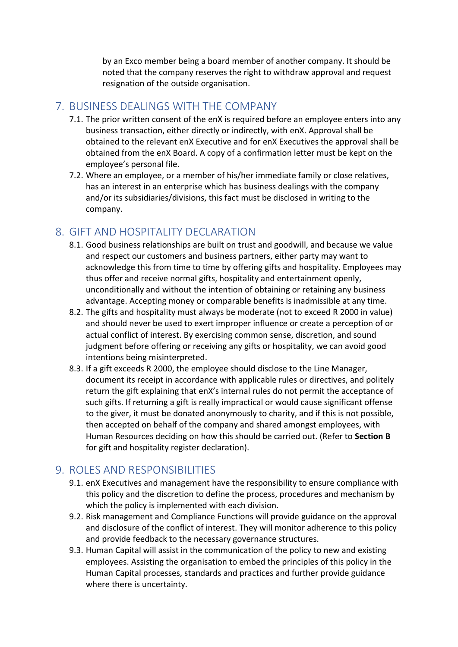by an Exco member being a board member of another company. It should be noted that the company reserves the right to withdraw approval and request resignation of the outside organisation.

#### 7. BUSINESS DEALINGS WITH THE COMPANY

- 7.1. The prior written consent of the enX is required before an employee enters into any business transaction, either directly or indirectly, with enX. Approval shall be obtained to the relevant enX Executive and for enX Executives the approval shall be obtained from the enX Board. A copy of a confirmation letter must be kept on the employee's personal file.
- 7.2. Where an employee, or a member of his/her immediate family or close relatives, has an interest in an enterprise which has business dealings with the company and/or its subsidiaries/divisions, this fact must be disclosed in writing to the company.

### 8. GIFT AND HOSPITALITY DECLARATION

- 8.1. Good business relationships are built on trust and goodwill, and because we value and respect our customers and business partners, either party may want to acknowledge this from time to time by offering gifts and hospitality. Employees may thus offer and receive normal gifts, hospitality and entertainment openly, unconditionally and without the intention of obtaining or retaining any business advantage. Accepting money or comparable benefits is inadmissible at any time.
- 8.2. The gifts and hospitality must always be moderate (not to exceed R 2000 in value) and should never be used to exert improper influence or create a perception of or actual conflict of interest. By exercising common sense, discretion, and sound judgment before offering or receiving any gifts or hospitality, we can avoid good intentions being misinterpreted.
- 8.3. If a gift exceeds R 2000, the employee should disclose to the Line Manager, document its receipt in accordance with applicable rules or directives, and politely return the gift explaining that enX's internal rules do not permit the acceptance of such gifts. If returning a gift is really impractical or would cause significant offense to the giver, it must be donated anonymously to charity, and if this is not possible, then accepted on behalf of the company and shared amongst employees, with Human Resources deciding on how this should be carried out. (Refer to **Section B** for gift and hospitality register declaration).

#### 9. ROLES AND RESPONSIBILITIES

- 9.1. enX Executives and management have the responsibility to ensure compliance with this policy and the discretion to define the process, procedures and mechanism by which the policy is implemented with each division.
- 9.2. Risk management and Compliance Functions will provide guidance on the approval and disclosure of the conflict of interest. They will monitor adherence to this policy and provide feedback to the necessary governance structures.
- 9.3. Human Capital will assist in the communication of the policy to new and existing employees. Assisting the organisation to embed the principles of this policy in the Human Capital processes, standards and practices and further provide guidance where there is uncertainty.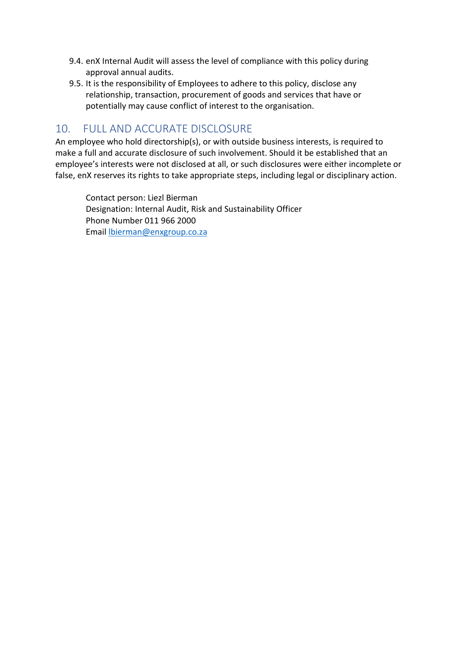- 9.4. enX Internal Audit will assess the level of compliance with this policy during approval annual audits.
- 9.5. It is the responsibility of Employees to adhere to this policy, disclose any relationship, transaction, procurement of goods and services that have or potentially may cause conflict of interest to the organisation.

### 10. FULL AND ACCURATE DISCLOSURE

An employee who hold directorship(s), or with outside business interests, is required to make a full and accurate disclosure of such involvement. Should it be established that an employee's interests were not disclosed at all, or such disclosures were either incomplete or false, enX reserves its rights to take appropriate steps, including legal or disciplinary action.

Contact person: Liezl Bierman Designation: Internal Audit, Risk and Sustainability Officer Phone Number 011 966 2000 Email [lbierman@enxgroup.co.za](mailto:lbierman@enxgroup.co.za)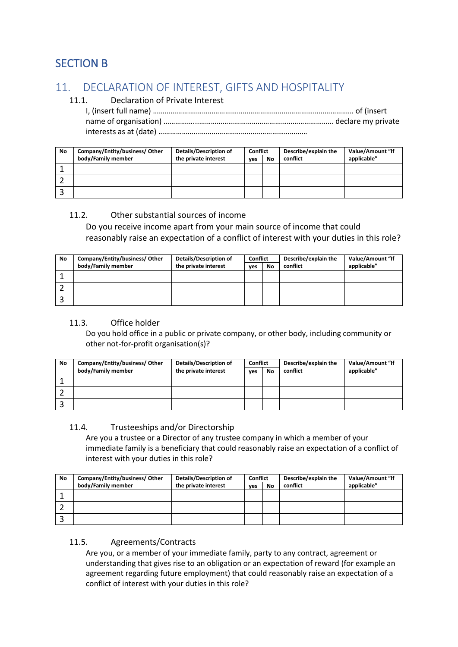## SECTION B

## 11. DECLARATION OF INTEREST, GIFTS AND HOSPITALITY

#### 11.1. Declaration of Private Interest

| No | Company/Entity/business/Other | <b>Details/Description of</b> | <b>Conflict</b> |    | Describe/explain the | Value/Amount "If |
|----|-------------------------------|-------------------------------|-----------------|----|----------------------|------------------|
|    | body/Family member            | the private interest          | ves             | No | conflict             | applicable"      |
|    |                               |                               |                 |    |                      |                  |
|    |                               |                               |                 |    |                      |                  |
|    |                               |                               |                 |    |                      |                  |

#### 11.2. Other substantial sources of income

Do you receive income apart from your main source of income that could reasonably raise an expectation of a conflict of interest with your duties in this role?

| No | Company/Entity/business/Other | <b>Details/Description of</b> | <b>Conflict</b> |    | Describe/explain the | Value/Amount "If |
|----|-------------------------------|-------------------------------|-----------------|----|----------------------|------------------|
|    | body/Family member            | the private interest          | ves             | No | conflict             | applicable"      |
|    |                               |                               |                 |    |                      |                  |
|    |                               |                               |                 |    |                      |                  |
|    |                               |                               |                 |    |                      |                  |

#### 11.3. Office holder

Do you hold office in a public or private company, or other body, including community or other not-for-profit organisation(s)?

| No | Company/Entity/business/Other | <b>Details/Description of</b> | <b>Conflict</b> |           | Describe/explain the | Value/Amount "If |
|----|-------------------------------|-------------------------------|-----------------|-----------|----------------------|------------------|
|    | body/Family member            | the private interest          | ves             | <b>No</b> | conflict             | applicable"      |
|    |                               |                               |                 |           |                      |                  |
|    |                               |                               |                 |           |                      |                  |
|    |                               |                               |                 |           |                      |                  |

#### 11.4. Trusteeships and/or Directorship

Are you a trustee or a Director of any trustee company in which a member of your immediate family is a beneficiary that could reasonably raise an expectation of a conflict of interest with your duties in this role?

| No | Company/Entity/business/Other | <b>Details/Description of</b> | <b>Conflict</b> |    | Describe/explain the | Value/Amount "If |
|----|-------------------------------|-------------------------------|-----------------|----|----------------------|------------------|
|    | body/Family member            | the private interest          | ves             | No | conflict             | applicable"      |
|    |                               |                               |                 |    |                      |                  |
|    |                               |                               |                 |    |                      |                  |
|    |                               |                               |                 |    |                      |                  |

#### 11.5. Agreements/Contracts

Are you, or a member of your immediate family, party to any contract, agreement or understanding that gives rise to an obligation or an expectation of reward (for example an agreement regarding future employment) that could reasonably raise an expectation of a conflict of interest with your duties in this role?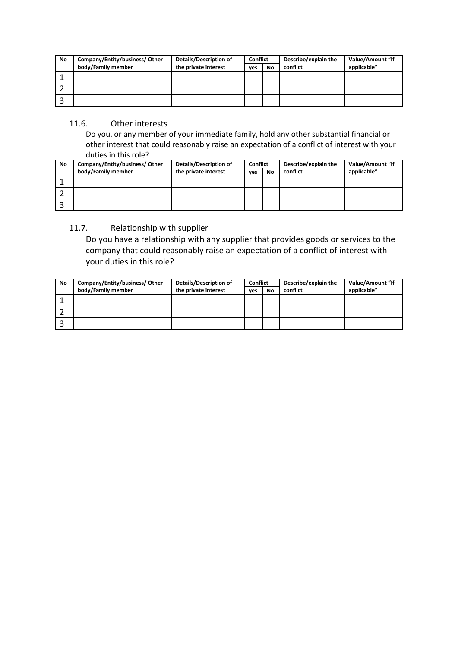| No | Company/Entity/business/Other | Details/Description of | <b>Conflict</b> |           | Describe/explain the | Value/Amount "If |
|----|-------------------------------|------------------------|-----------------|-----------|----------------------|------------------|
|    | body/Family member            | the private interest   | ves             | <b>No</b> | conflict             | applicable"      |
|    |                               |                        |                 |           |                      |                  |
|    |                               |                        |                 |           |                      |                  |
|    |                               |                        |                 |           |                      |                  |

#### 11.6. Other interests

Do you, or any member of your immediate family, hold any other substantial financial or other interest that could reasonably raise an expectation of a conflict of interest with your duties in this role?

| No | Company/Entity/business/Other | Details/Description of | <b>Conflict</b> |    | Describe/explain the | Value/Amount "If |
|----|-------------------------------|------------------------|-----------------|----|----------------------|------------------|
|    | body/Family member            | the private interest   | ves             | No | conflict             | applicable"      |
|    |                               |                        |                 |    |                      |                  |
|    |                               |                        |                 |    |                      |                  |
|    |                               |                        |                 |    |                      |                  |

#### 11.7. Relationship with supplier

Do you have a relationship with any supplier that provides goods or services to the company that could reasonably raise an expectation of a conflict of interest with your duties in this role?

| No | Company/Entity/business/Other | Details/Description of | Conflict |    | Describe/explain the | Value/Amount "If |
|----|-------------------------------|------------------------|----------|----|----------------------|------------------|
|    | body/Family member            | the private interest   | ves      | No | conflict             | applicable"      |
|    |                               |                        |          |    |                      |                  |
|    |                               |                        |          |    |                      |                  |
|    |                               |                        |          |    |                      |                  |